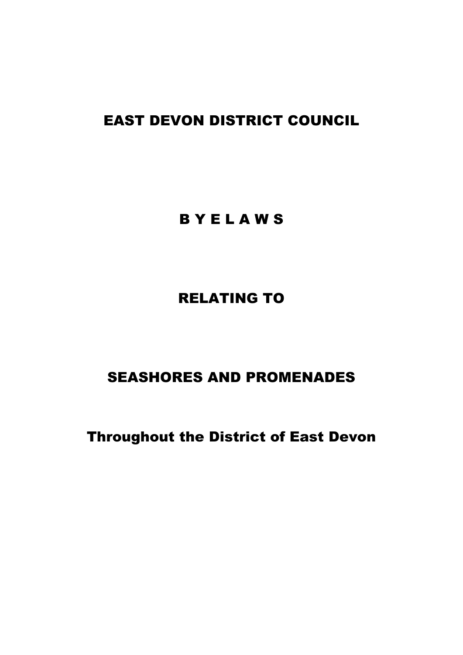# EAST DEVON DISTRICT COUNCIL

## **BYELAWS**

# RELATING TO

# SEASHORES AND PROMENADES

Throughout the District of East Devon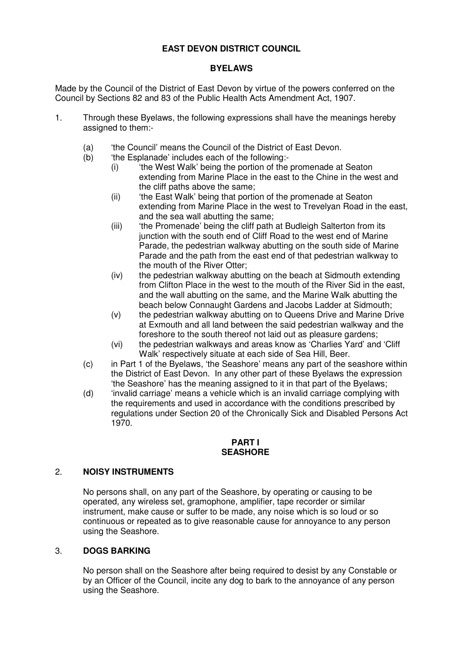## **EAST DEVON DISTRICT COUNCIL**

#### **BYELAWS**

Made by the Council of the District of East Devon by virtue of the powers conferred on the Council by Sections 82 and 83 of the Public Health Acts Amendment Act, 1907.

- 1. Through these Byelaws, the following expressions shall have the meanings hereby assigned to them:-
	- (a) 'the Council' means the Council of the District of East Devon.
	- (b) 'the Esplanade' includes each of the following:-
		- (i) the West Walk' being the portion of the promenade at Seaton extending from Marine Place in the east to the Chine in the west and the cliff paths above the same;
		- (ii) the East Walk' being that portion of the promenade at Seaton extending from Marine Place in the west to Trevelyan Road in the east, and the sea wall abutting the same;
		- (iii) 'the Promenade' being the cliff path at Budleigh Salterton from its junction with the south end of Cliff Road to the west end of Marine Parade, the pedestrian walkway abutting on the south side of Marine Parade and the path from the east end of that pedestrian walkway to the mouth of the River Otter;
		- (iv) the pedestrian walkway abutting on the beach at Sidmouth extending from Clifton Place in the west to the mouth of the River Sid in the east, and the wall abutting on the same, and the Marine Walk abutting the beach below Connaught Gardens and Jacobs Ladder at Sidmouth;
		- (v) the pedestrian walkway abutting on to Queens Drive and Marine Drive at Exmouth and all land between the said pedestrian walkway and the foreshore to the south thereof not laid out as pleasure gardens;
		- (vi) the pedestrian walkways and areas know as 'Charlies Yard' and 'Cliff Walk' respectively situate at each side of Sea Hill, Beer.
	- (c) in Part 1 of the Byelaws, 'the Seashore' means any part of the seashore within the District of East Devon. In any other part of these Byelaws the expression 'the Seashore' has the meaning assigned to it in that part of the Byelaws;
	- (d) 'invalid carriage' means a vehicle which is an invalid carriage complying with the requirements and used in accordance with the conditions prescribed by regulations under Section 20 of the Chronically Sick and Disabled Persons Act 1970.

#### **PART I SEASHORE**

#### 2. **NOISY INSTRUMENTS**

No persons shall, on any part of the Seashore, by operating or causing to be operated, any wireless set, gramophone, amplifier, tape recorder or similar instrument, make cause or suffer to be made, any noise which is so loud or so continuous or repeated as to give reasonable cause for annoyance to any person using the Seashore.

#### 3. **DOGS BARKING**

No person shall on the Seashore after being required to desist by any Constable or by an Officer of the Council, incite any dog to bark to the annoyance of any person using the Seashore.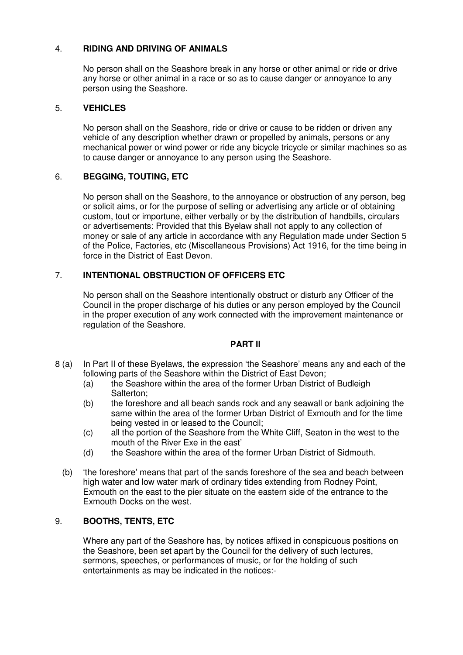## 4. **RIDING AND DRIVING OF ANIMALS**

No person shall on the Seashore break in any horse or other animal or ride or drive any horse or other animal in a race or so as to cause danger or annoyance to any person using the Seashore.

#### 5. **VEHICLES**

No person shall on the Seashore, ride or drive or cause to be ridden or driven any vehicle of any description whether drawn or propelled by animals, persons or any mechanical power or wind power or ride any bicycle tricycle or similar machines so as to cause danger or annoyance to any person using the Seashore.

#### 6. **BEGGING, TOUTING, ETC**

No person shall on the Seashore, to the annoyance or obstruction of any person, beg or solicit aims, or for the purpose of selling or advertising any article or of obtaining custom, tout or importune, either verbally or by the distribution of handbills, circulars or advertisements: Provided that this Byelaw shall not apply to any collection of money or sale of any article in accordance with any Regulation made under Section 5 of the Police, Factories, etc (Miscellaneous Provisions) Act 1916, for the time being in force in the District of East Devon.

#### 7. **INTENTIONAL OBSTRUCTION OF OFFICERS ETC**

No person shall on the Seashore intentionally obstruct or disturb any Officer of the Council in the proper discharge of his duties or any person employed by the Council in the proper execution of any work connected with the improvement maintenance or regulation of the Seashore.

#### **PART II**

- 8 (a) In Part II of these Byelaws, the expression 'the Seashore' means any and each of the following parts of the Seashore within the District of East Devon;
	- (a) the Seashore within the area of the former Urban District of Budleigh Salterton;
	- (b) the foreshore and all beach sands rock and any seawall or bank adjoining the same within the area of the former Urban District of Exmouth and for the time being vested in or leased to the Council;
	- (c) all the portion of the Seashore from the White Cliff, Seaton in the west to the mouth of the River Exe in the east'
	- (d) the Seashore within the area of the former Urban District of Sidmouth.
	- (b) 'the foreshore' means that part of the sands foreshore of the sea and beach between high water and low water mark of ordinary tides extending from Rodney Point, Exmouth on the east to the pier situate on the eastern side of the entrance to the Exmouth Docks on the west.

#### 9. **BOOTHS, TENTS, ETC**

Where any part of the Seashore has, by notices affixed in conspicuous positions on the Seashore, been set apart by the Council for the delivery of such lectures, sermons, speeches, or performances of music, or for the holding of such entertainments as may be indicated in the notices:-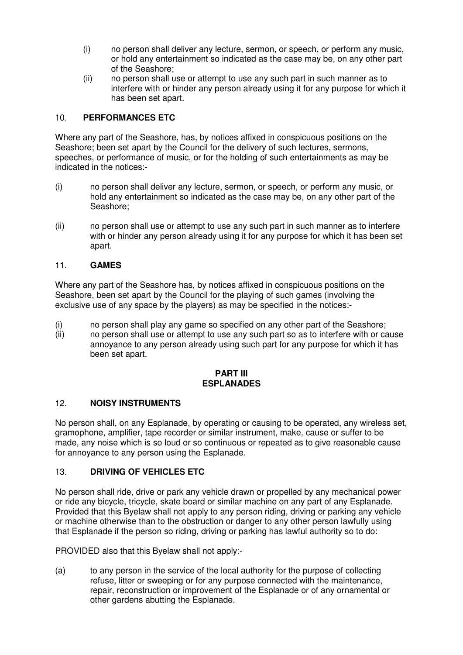- (i) no person shall deliver any lecture, sermon, or speech, or perform any music, or hold any entertainment so indicated as the case may be, on any other part of the Seashore;
- (ii) no person shall use or attempt to use any such part in such manner as to interfere with or hinder any person already using it for any purpose for which it has been set apart.

## 10. **PERFORMANCES ETC**

Where any part of the Seashore, has, by notices affixed in conspicuous positions on the Seashore; been set apart by the Council for the delivery of such lectures, sermons, speeches, or performance of music, or for the holding of such entertainments as may be indicated in the notices:-

- (i) no person shall deliver any lecture, sermon, or speech, or perform any music, or hold any entertainment so indicated as the case may be, on any other part of the Seashore;
- (ii) no person shall use or attempt to use any such part in such manner as to interfere with or hinder any person already using it for any purpose for which it has been set apart.

## 11. **GAMES**

Where any part of the Seashore has, by notices affixed in conspicuous positions on the Seashore, been set apart by the Council for the playing of such games (involving the exclusive use of any space by the players) as may be specified in the notices:-

- (i) no person shall play any game so specified on any other part of the Seashore;
- (ii) no person shall use or attempt to use any such part so as to interfere with or cause annoyance to any person already using such part for any purpose for which it has been set apart.

#### **PART III ESPLANADES**

## 12. **NOISY INSTRUMENTS**

No person shall, on any Esplanade, by operating or causing to be operated, any wireless set, gramophone, amplifier, tape recorder or similar instrument, make, cause or suffer to be made, any noise which is so loud or so continuous or repeated as to give reasonable cause for annoyance to any person using the Esplanade.

## 13. **DRIVING OF VEHICLES ETC**

No person shall ride, drive or park any vehicle drawn or propelled by any mechanical power or ride any bicycle, tricycle, skate board or similar machine on any part of any Esplanade. Provided that this Byelaw shall not apply to any person riding, driving or parking any vehicle or machine otherwise than to the obstruction or danger to any other person lawfully using that Esplanade if the person so riding, driving or parking has lawful authority so to do:

PROVIDED also that this Byelaw shall not apply:-

(a) to any person in the service of the local authority for the purpose of collecting refuse, litter or sweeping or for any purpose connected with the maintenance, repair, reconstruction or improvement of the Esplanade or of any ornamental or other gardens abutting the Esplanade.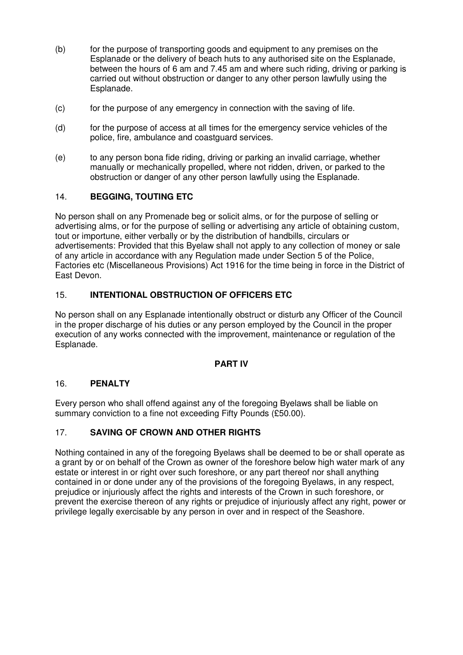- (b) for the purpose of transporting goods and equipment to any premises on the Esplanade or the delivery of beach huts to any authorised site on the Esplanade, between the hours of 6 am and 7.45 am and where such riding, driving or parking is carried out without obstruction or danger to any other person lawfully using the Esplanade.
- (c) for the purpose of any emergency in connection with the saving of life.
- (d) for the purpose of access at all times for the emergency service vehicles of the police, fire, ambulance and coastguard services.
- (e) to any person bona fide riding, driving or parking an invalid carriage, whether manually or mechanically propelled, where not ridden, driven, or parked to the obstruction or danger of any other person lawfully using the Esplanade.

## 14. **BEGGING, TOUTING ETC**

No person shall on any Promenade beg or solicit alms, or for the purpose of selling or advertising alms, or for the purpose of selling or advertising any article of obtaining custom, tout or importune, either verbally or by the distribution of handbills, circulars or advertisements: Provided that this Byelaw shall not apply to any collection of money or sale of any article in accordance with any Regulation made under Section 5 of the Police, Factories etc (Miscellaneous Provisions) Act 1916 for the time being in force in the District of East Devon.

## 15. **INTENTIONAL OBSTRUCTION OF OFFICERS ETC**

No person shall on any Esplanade intentionally obstruct or disturb any Officer of the Council in the proper discharge of his duties or any person employed by the Council in the proper execution of any works connected with the improvement, maintenance or regulation of the Esplanade.

#### **PART IV**

## 16. **PENALTY**

Every person who shall offend against any of the foregoing Byelaws shall be liable on summary conviction to a fine not exceeding Fifty Pounds (£50.00).

## 17. **SAVING OF CROWN AND OTHER RIGHTS**

Nothing contained in any of the foregoing Byelaws shall be deemed to be or shall operate as a grant by or on behalf of the Crown as owner of the foreshore below high water mark of any estate or interest in or right over such foreshore, or any part thereof nor shall anything contained in or done under any of the provisions of the foregoing Byelaws, in any respect, prejudice or injuriously affect the rights and interests of the Crown in such foreshore, or prevent the exercise thereon of any rights or prejudice of injuriously affect any right, power or privilege legally exercisable by any person in over and in respect of the Seashore.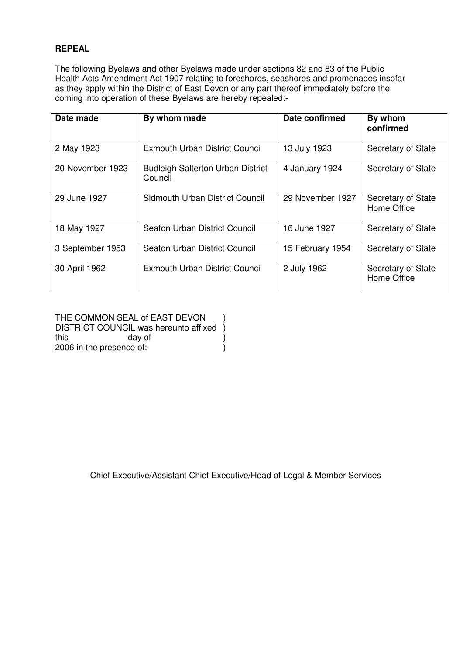## **REPEAL**

The following Byelaws and other Byelaws made under sections 82 and 83 of the Public Health Acts Amendment Act 1907 relating to foreshores, seashores and promenades insofar as they apply within the District of East Devon or any part thereof immediately before the coming into operation of these Byelaws are hereby repealed:-

| Date made        | By whom made                                        | Date confirmed   | By whom<br>confirmed              |
|------------------|-----------------------------------------------------|------------------|-----------------------------------|
| 2 May 1923       | <b>Exmouth Urban District Council</b>               | 13 July 1923     | Secretary of State                |
| 20 November 1923 | <b>Budleigh Salterton Urban District</b><br>Council | 4 January 1924   | Secretary of State                |
| 29 June 1927     | Sidmouth Urban District Council                     | 29 November 1927 | Secretary of State<br>Home Office |
| 18 May 1927      | Seaton Urban District Council                       | 16 June 1927     | Secretary of State                |
| 3 September 1953 | Seaton Urban District Council                       | 15 February 1954 | Secretary of State                |
| 30 April 1962    | Exmouth Urban District Council                      | 2 July 1962      | Secretary of State<br>Home Office |

THE COMMON SEAL of EAST DEVON ) DISTRICT COUNCIL was hereunto affixed )<br>this day of (1)  $day of$  ) 2006 in the presence of:-

Chief Executive/Assistant Chief Executive/Head of Legal & Member Services